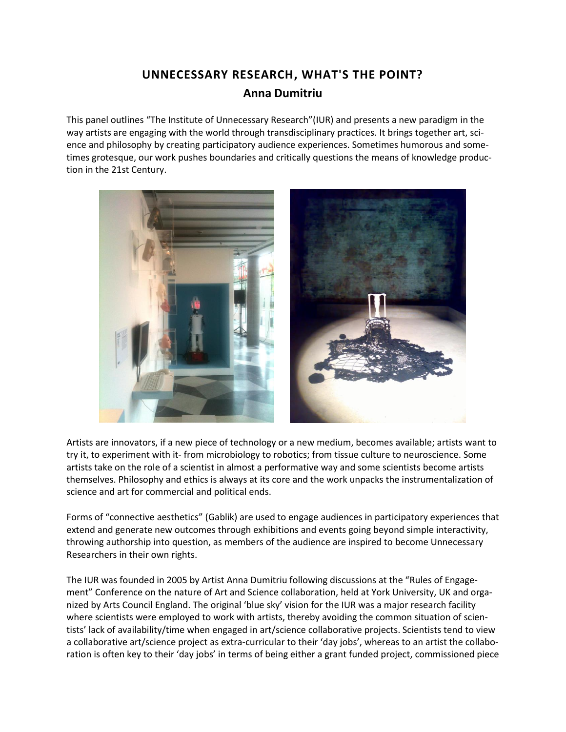## **UNNECESSARY RESEARCH, WHAT'S THE POINT? Anna Dumitriu**

This panel outlines "The Institute of Unnecessary Research"(IUR) and presents a new paradigm in the way artists are engaging with the world through transdisciplinary practices. It brings together art, science and philosophy by creating participatory audience experiences. Sometimes humorous and sometimes grotesque, our work pushes boundaries and critically questions the means of knowledge production in the 21st Century.



Artists are innovators, if a new piece of technology or a new medium, becomes available; artists want to try it, to experiment with it- from microbiology to robotics; from tissue culture to neuroscience. Some artists take on the role of a scientist in almost a performative way and some scientists become artists themselves. Philosophy and ethics is always at its core and the work unpacks the instrumentalization of science and art for commercial and political ends.

Forms of "connective aesthetics" (Gablik) are used to engage audiences in participatory experiences that extend and generate new outcomes through exhibitions and events going beyond simple interactivity, throwing authorship into question, as members of the audience are inspired to become Unnecessary Researchers in their own rights.

The IUR was founded in 2005 by Artist Anna Dumitriu following discussions at the "Rules of Engagement" Conference on the nature of Art and Science collaboration, held at York University, UK and organized by Arts Council England. The original 'blue sky' vision for the IUR was a major research facility where scientists were employed to work with artists, thereby avoiding the common situation of scientists' lack of availability/time when engaged in art/science collaborative projects. Scientists tend to view a collaborative art/science project as extra-curricular to their 'day jobs', whereas to an artist the collaboration is often key to their 'day jobs' in terms of being either a grant funded project, commissioned piece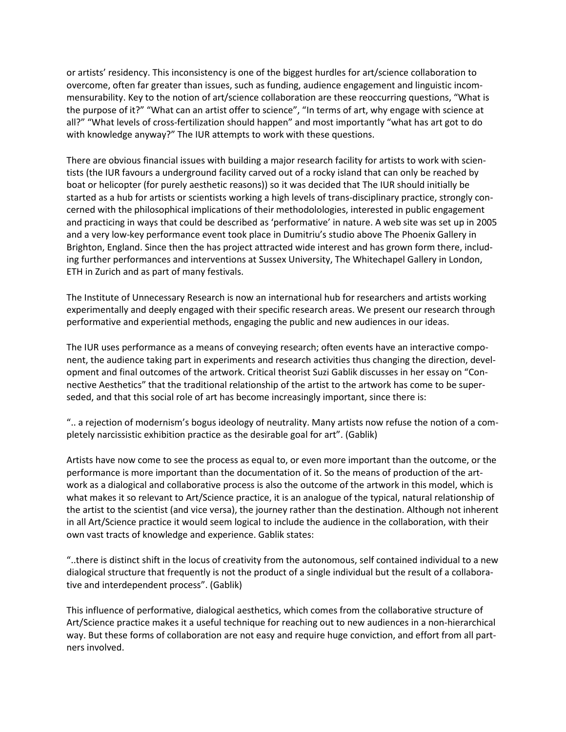or artists' residency. This inconsistency is one of the biggest hurdles for art/science collaboration to overcome, often far greater than issues, such as funding, audience engagement and linguistic incommensurability. Key to the notion of art/science collaboration are these reoccurring questions, "What is the purpose of it?" "What can an artist offer to science", "In terms of art, why engage with science at all?" "What levels of cross-fertilization should happen" and most importantly "what has art got to do with knowledge anyway?" The IUR attempts to work with these questions.

There are obvious financial issues with building a major research facility for artists to work with scientists (the IUR favours a underground facility carved out of a rocky island that can only be reached by boat or helicopter (for purely aesthetic reasons)) so it was decided that The IUR should initially be started as a hub for artists or scientists working a high levels of trans-disciplinary practice, strongly concerned with the philosophical implications of their methodolologies, interested in public engagement and practicing in ways that could be described as 'performative' in nature. A web site was set up in 2005 and a very low-key performance event took place in Dumitriu's studio above The Phoenix Gallery in Brighton, England. Since then the has project attracted wide interest and has grown form there, including further performances and interventions at Sussex University, The Whitechapel Gallery in London, ETH in Zurich and as part of many festivals.

The Institute of Unnecessary Research is now an international hub for researchers and artists working experimentally and deeply engaged with their specific research areas. We present our research through performative and experiential methods, engaging the public and new audiences in our ideas.

The IUR uses performance as a means of conveying research; often events have an interactive component, the audience taking part in experiments and research activities thus changing the direction, development and final outcomes of the artwork. Critical theorist Suzi Gablik discusses in her essay on "Connective Aesthetics" that the traditional relationship of the artist to the artwork has come to be superseded, and that this social role of art has become increasingly important, since there is:

".. a rejection of modernism's bogus ideology of neutrality. Many artists now refuse the notion of a completely narcissistic exhibition practice as the desirable goal for art". (Gablik)

Artists have now come to see the process as equal to, or even more important than the outcome, or the performance is more important than the documentation of it. So the means of production of the artwork as a dialogical and collaborative process is also the outcome of the artwork in this model, which is what makes it so relevant to Art/Science practice, it is an analogue of the typical, natural relationship of the artist to the scientist (and vice versa), the journey rather than the destination. Although not inherent in all Art/Science practice it would seem logical to include the audience in the collaboration, with their own vast tracts of knowledge and experience. Gablik states:

"..there is distinct shift in the locus of creativity from the autonomous, self contained individual to a new dialogical structure that frequently is not the product of a single individual but the result of a collaborative and interdependent process". (Gablik)

This influence of performative, dialogical aesthetics, which comes from the collaborative structure of Art/Science practice makes it a useful technique for reaching out to new audiences in a non-hierarchical way. But these forms of collaboration are not easy and require huge conviction, and effort from all partners involved.